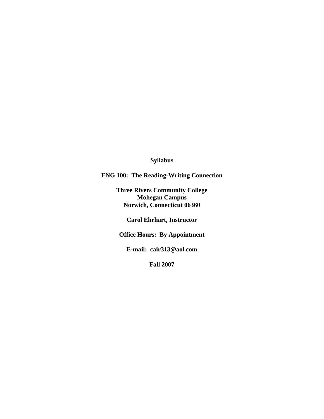# **Syllabus**

**ENG 100: The Reading-Writing Connection**

**Three Rivers Community College Mohegan Campus Norwich, Connecticut 06360**

**Carol Ehrhart, Instructor**

**Office Hours: By Appointment**

**E-mail: cair313@aol.com**

**Fall 2007**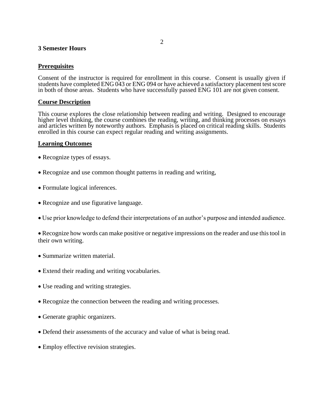#### **3 Semester Hours**

### **Prerequisites**

Consent of the instructor is required for enrollment in this course. Consent is usually given if students have completed ENG 043 or ENG 094 or have achieved a satisfactory placement test score in both of those areas. Students who have successfully passed ENG 101 are not given consent.

### **Course Description**

This course explores the close relationship between reading and writing. Designed to encourage higher level thinking, the course combines the reading, writing, and thinking processes on essays and articles written by noteworthy authors. Emphasis is placed on critical reading skills. Students enrolled in this course can expect regular reading and writing assignments.

### **Learning Outcomes**

- Recognize types of essays.
- Recognize and use common thought patterns in reading and writing,
- Formulate logical inferences.
- Recognize and use figurative language.
- Use prior knowledge to defend their interpretations of an author's purpose and intended audience.

 Recognize how words can make positive or negative impressions on the reader and use this tool in their own writing.

- Summarize written material.
- Extend their reading and writing vocabularies.
- Use reading and writing strategies.
- Recognize the connection between the reading and writing processes.
- Generate graphic organizers.
- Defend their assessments of the accuracy and value of what is being read.
- Employ effective revision strategies.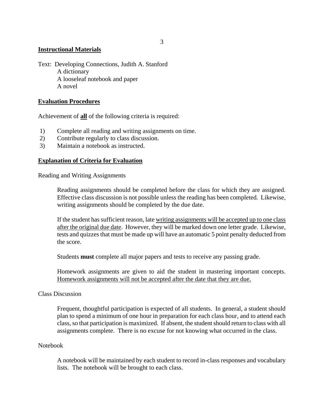## **Instructional Materials**

Text: Developing Connections, Judith A. Stanford A dictionary A looseleaf notebook and paper A novel

### **Evaluation Procedures**

Achievement of **all** of the following criteria is required:

- 1) Complete all reading and writing assignments on time.
- 2) Contribute regularly to class discussion.
- 3) Maintain a notebook as instructed.

#### **Explanation of Criteria for Evaluation**

Reading and Writing Assignments

Reading assignments should be completed before the class for which they are assigned. Effective class discussion is not possible unless the reading has been completed. Likewise, writing assignments should be completed by the due date.

If the student has sufficient reason, late writing assignments will be accepted up to one class after the original due date. However, they will be marked down one letter grade. Likewise, tests and quizzes that must be made up will have an automatic 5 point penalty deducted from the score.

Students **must** complete all major papers and tests to receive any passing grade.

Homework assignments are given to aid the student in mastering important concepts. Homework assignments will not be accepted after the date that they are due.

#### Class Discussion

Frequent, thoughtful participation is expected of all students. In general, a student should plan to spend a minimum of one hour in preparation for each class hour, and to attend each class, so that participation is maximized. If absent, the student should return to class with all assignments complete. There is no excuse for not knowing what occurred in the class.

#### Notebook

A notebook will be maintained by each student to record in-class responses and vocabulary lists. The notebook will be brought to each class.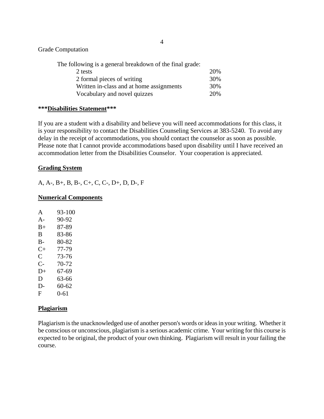Grade Computation

| 20% |
|-----|
| 30% |
| 30% |
| 20% |
|     |

### **\*\*\*Disabilities Statement\*\*\***

If you are a student with a disability and believe you will need accommodations for this class, it is your responsibility to contact the Disabilities Counseling Services at 383-5240. To avoid any delay in the receipt of accommodations, you should contact the counselor as soon as possible. Please note that I cannot provide accommodations based upon disability until I have received an accommodation letter from the Disabilities Counselor. Your cooperation is appreciated.

#### **Grading System**

A, A-, B+, B, B-, C+, C, C-, D+, D, D-, F

#### **Numerical Components**

| A         | 93-100   |
|-----------|----------|
| $A -$     | 90-92    |
| $B+$      | 87-89    |
| B         | 83-86    |
| B-        | 80-82    |
| $C_{\pm}$ | 77-79    |
| C         | 73-76    |
| C-        | 70-72    |
| D+        | 67-69    |
| D         | 63-66    |
| D-        | 60-62    |
| F         | $0 - 61$ |

#### **Plagiarism**

Plagiarism is the unacknowledged use of another person's words or ideas in your writing. Whether it be conscious or unconscious, plagiarism is a serious academic crime. Your writing for this course is expected to be original, the product of your own thinking. Plagiarism will result in your failing the course.